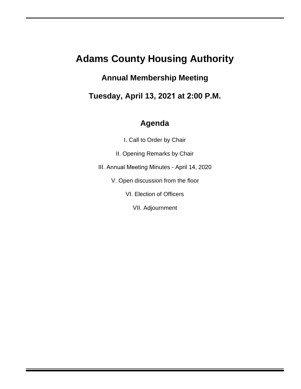## **Adams County Housing Authority**

## **Annual Membership Meeting**

**Tuesday, April 13, 2021 at 2:00 P.M.** 

## **Agenda**

I. Call to Order by Chair

II. Opening Remarks by Chair

III. Annual Meeting Minutes - April 14, 2020

V. Open discussion from the floor

VI. Election of Officers

VII. Adjournment